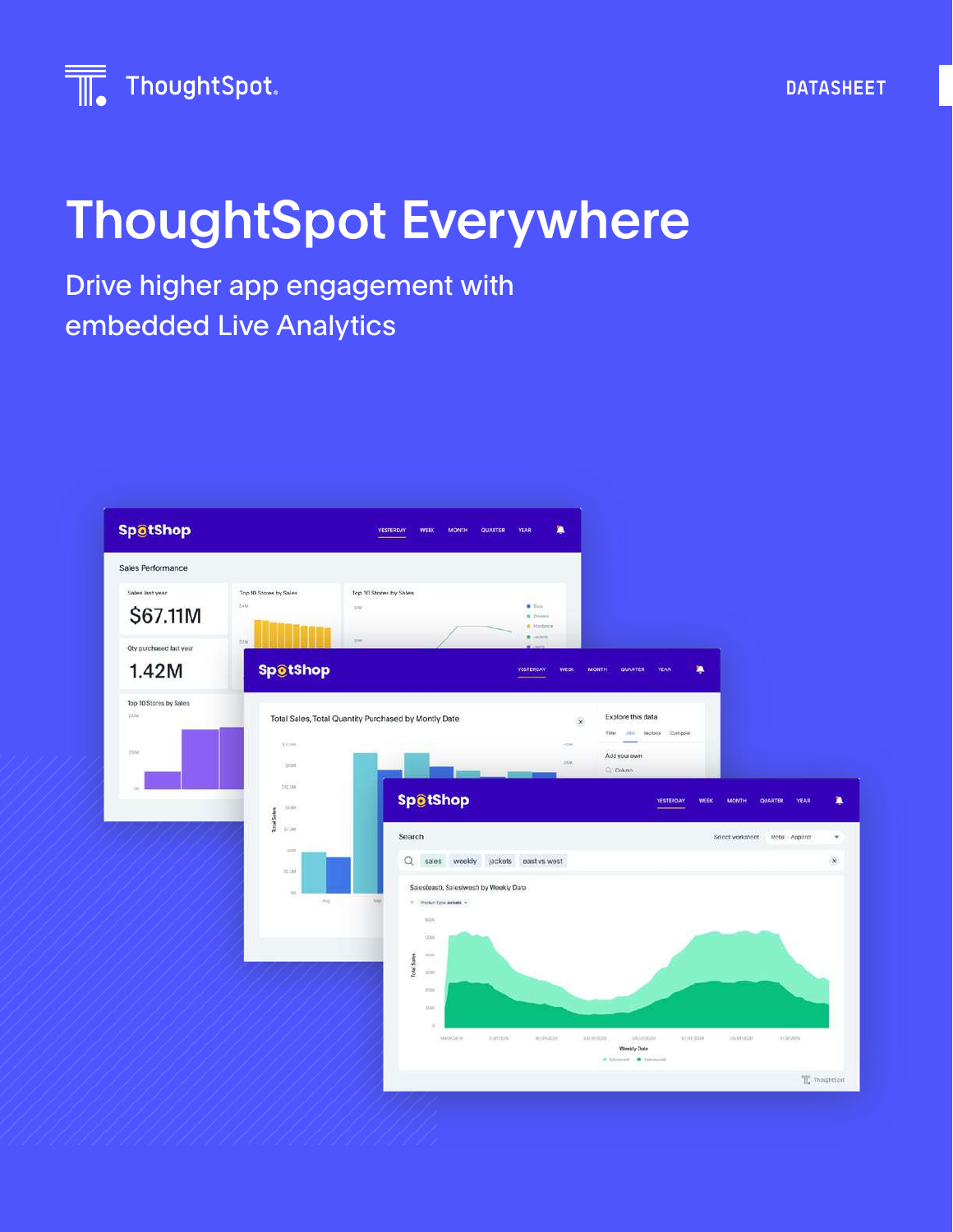

## ThoughtSpot Everywhere

### Drive higher app engagement with embedded Live Analytics



**DATASHEET**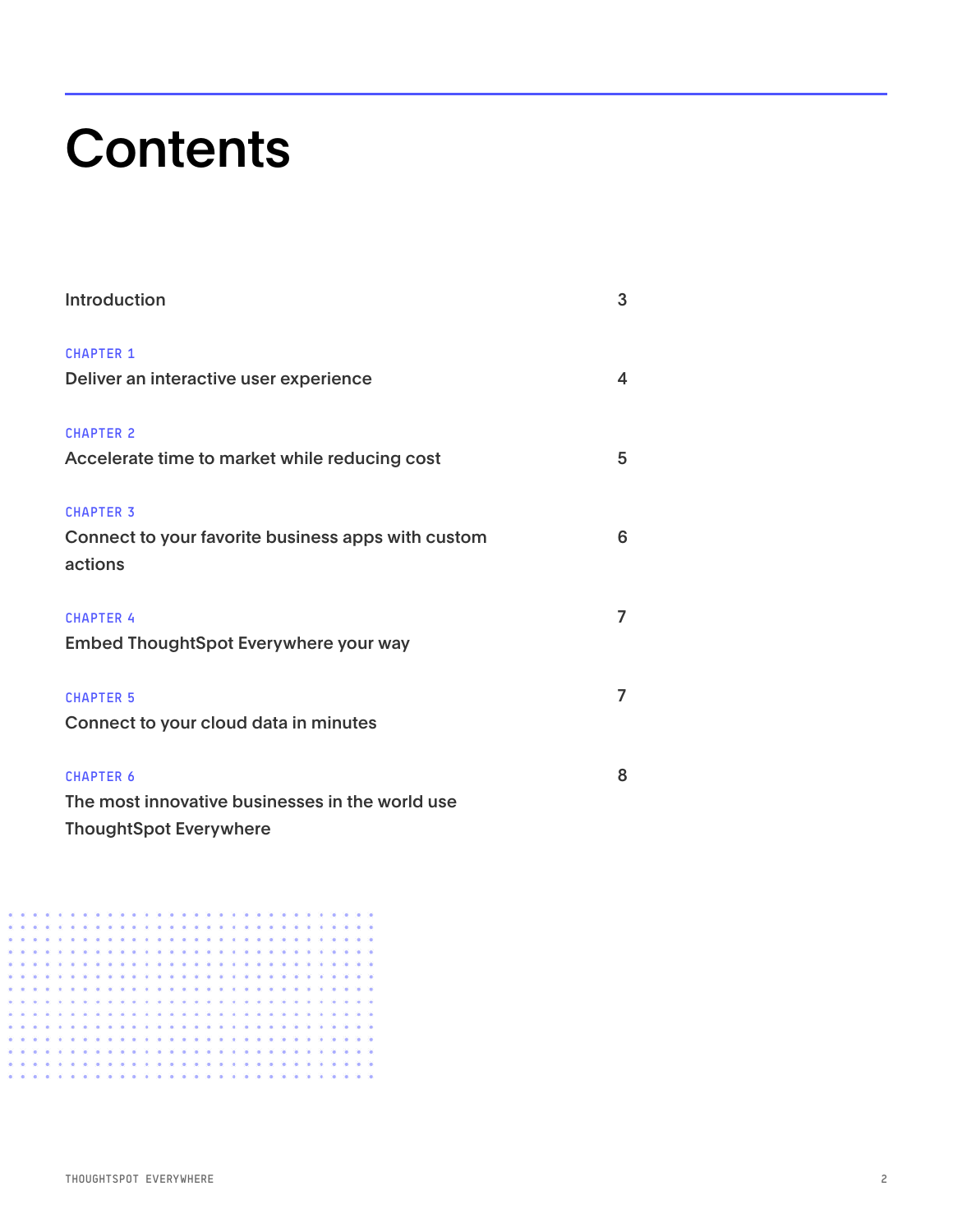## **Contents**

| <b>Introduction</b>                                | 3 |
|----------------------------------------------------|---|
| <b>CHAPTER 1</b>                                   |   |
| Deliver an interactive user experience             | 4 |
| <b>CHAPTER 2</b>                                   |   |
| Accelerate time to market while reducing cost      | 5 |
| <b>CHAPTER 3</b>                                   |   |
| Connect to your favorite business apps with custom | 6 |
| actions                                            |   |
| <b>CHAPTER 4</b>                                   | 7 |
| <b>Embed ThoughtSpot Everywhere your way</b>       |   |
| <b>CHAPTER 5</b>                                   | 7 |
| Connect to your cloud data in minutes              |   |
| <b>CHAPTER 6</b>                                   | 8 |
| The most innovative businesses in the world use    |   |
| <b>ThoughtSpot Everywhere</b>                      |   |

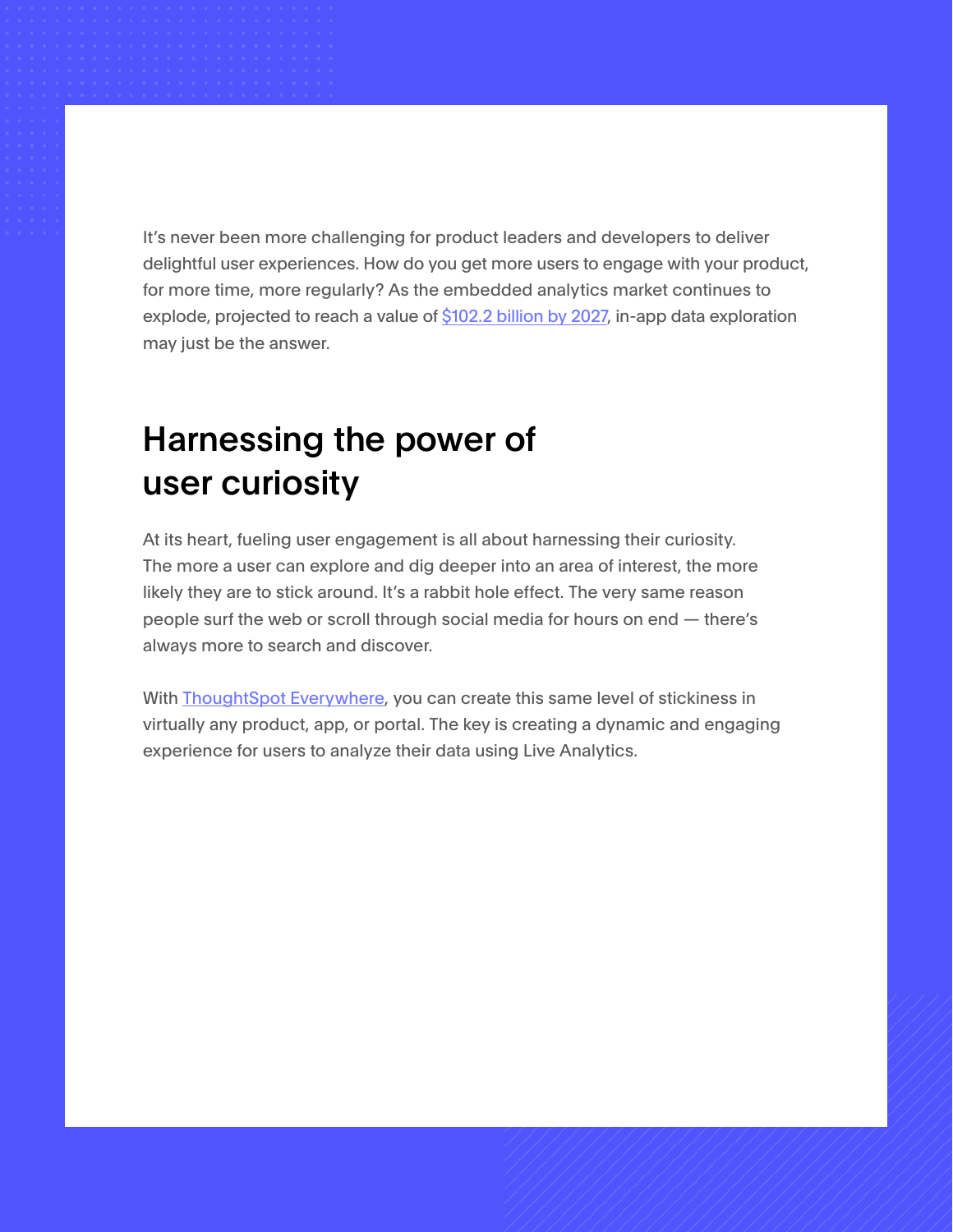It's never been more challenging for product leaders and developers to deliver delightful user experiences. How do you get more users to engage with your product, for more time, more regularly? As the embedded analytics market continues to explode, projected to reach a value of [\\$102.2 billion by 2027](https://www.verifiedmarketresearch.com/product/global-embedded-analytics-market-size-and-forecast-to-2025/#:~:text=Embedded%20Analytics%20Market%20size%20was,14.65%25%20from%202020%20to%202027.&text=The%20report%20comprises%20various%20segments,substantial%20role%20in%20the%20market), in-app data exploration may just be the answer.

## Harnessing the power of user curiosity

At its heart, fueling user engagement is all about harnessing their curiosity. The more a user can explore and dig deeper into an area of interest, the more likely they are to stick around. It's a rabbit hole effect. The very same reason people surf the web or scroll through social media for hours on end — there's always more to search and discover.

With **[ThoughtSpot Everywhere](http://thoughtspot.com/everywhere)**, you can create this same level of stickiness in virtually any product, app, or portal. The key is creating a dynamic and engaging experience for users to analyze their data using Live Analytics.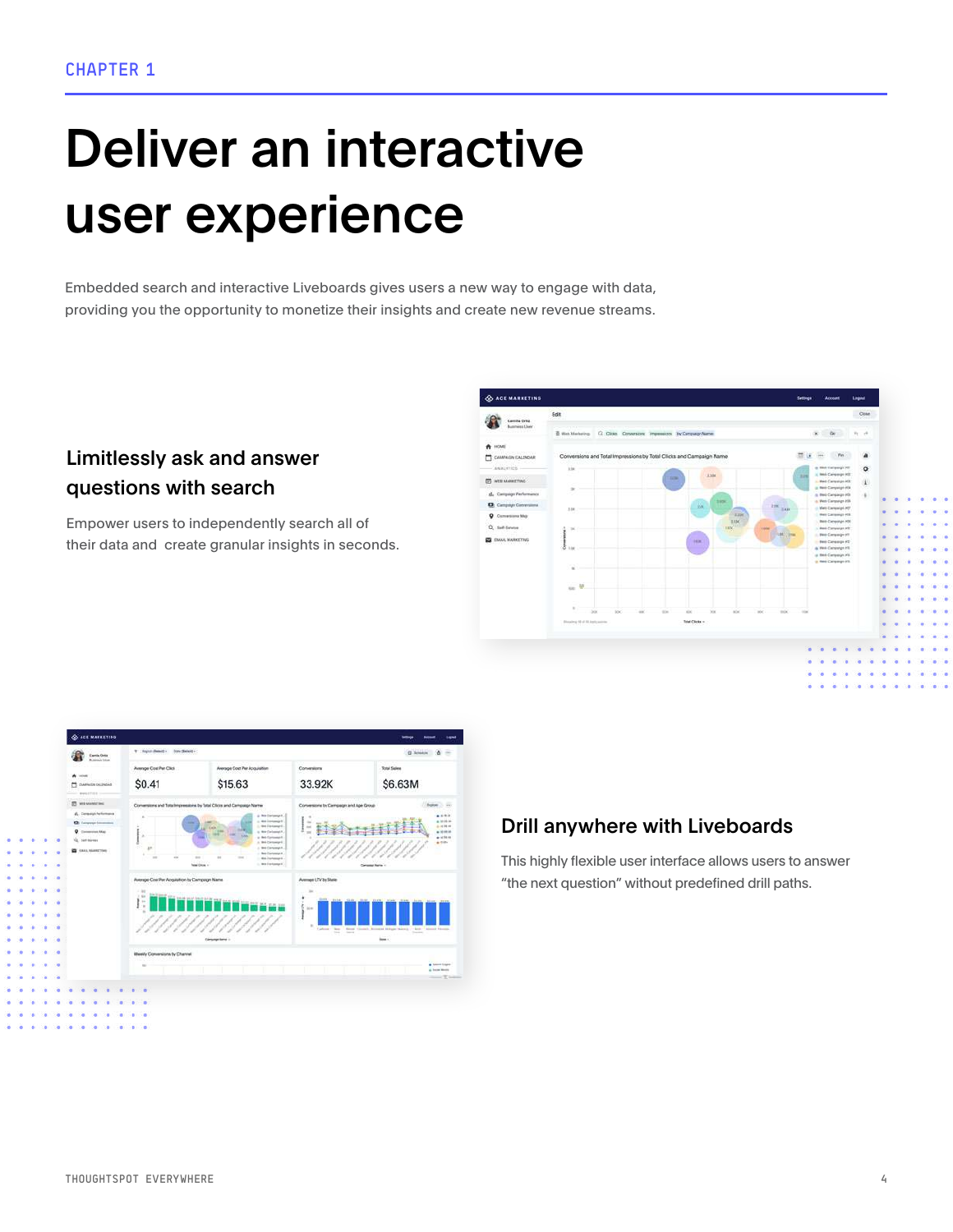# Deliver an interactive user experience

Embedded search and interactive Liveboards gives users a new way to engage with data, providing you the opportunity to monetize their insights and create new revenue streams.

### Limitlessly ask and answer questions with search

Empower users to independently search all of their data and create granular insights in seconds.





### Drill anywhere with Liveboards

This highly flexible user interface allows users to answer "the next question" without predefined drill paths.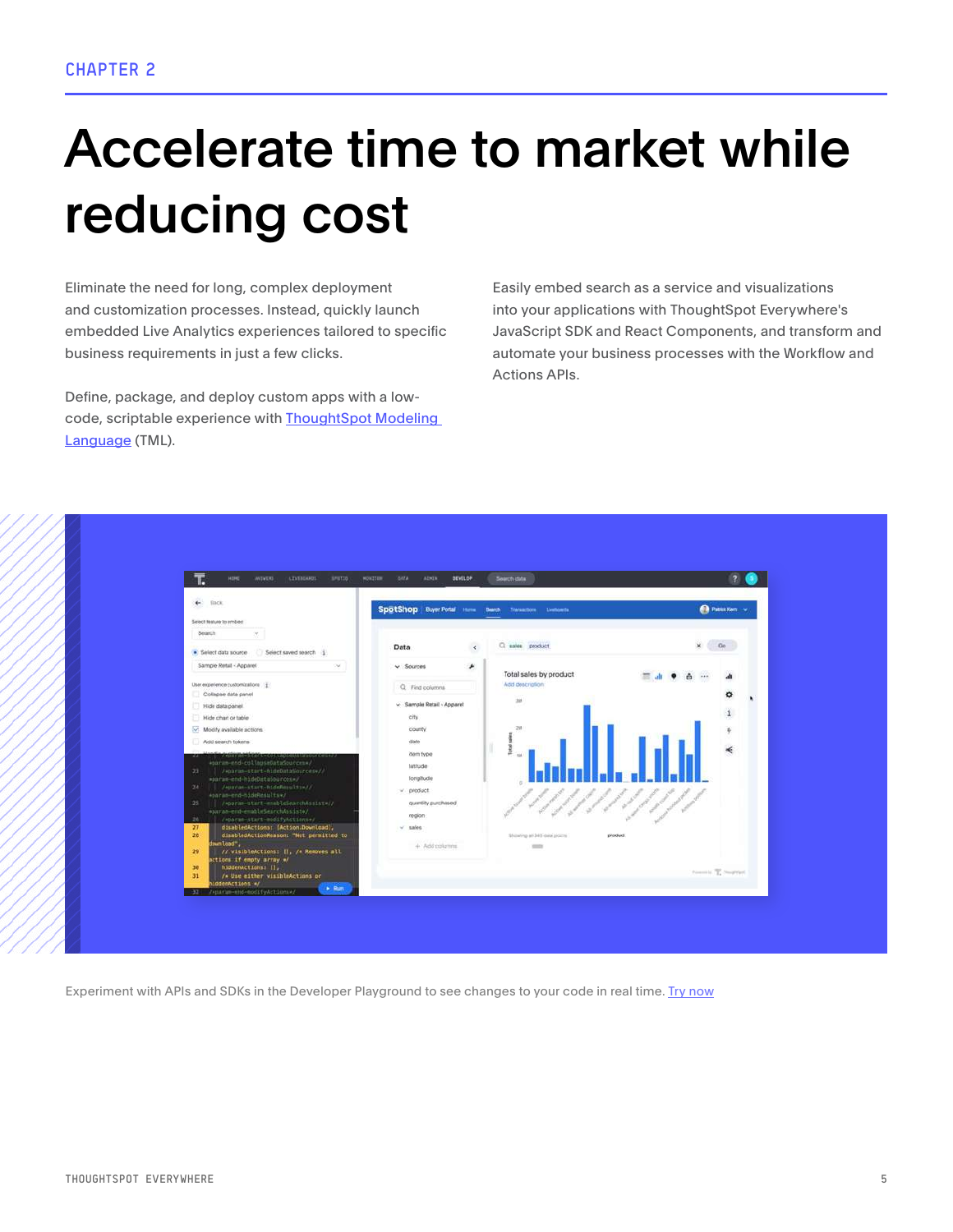## Accelerate time to market while reducing cost

Eliminate the need for long, complex deployment and customization processes. Instead, quickly launch embedded Live Analytics experiences tailored to specific business requirements in just a few clicks.

Define, package, and deploy custom apps with a lowcode, scriptable experience with [ThoughtSpot Modeling](https://go.thoughtspot.com/ebook-introducing-thoughtspot-modeling-language.html)  [Language](https://go.thoughtspot.com/ebook-introducing-thoughtspot-modeling-language.html) (TML).

Easily embed search as a service and visualizations into your applications with ThoughtSpot Everywhere's JavaScript SDK and React Components, and transform and automate your business processes with the Workflow and Actions APIs.



Experiment with APIs and SDKs in the Developer Playground to see changes to your code in real time. [Try now](https://try-everywhere.thoughtspot.cloud/v2/#/everywhere)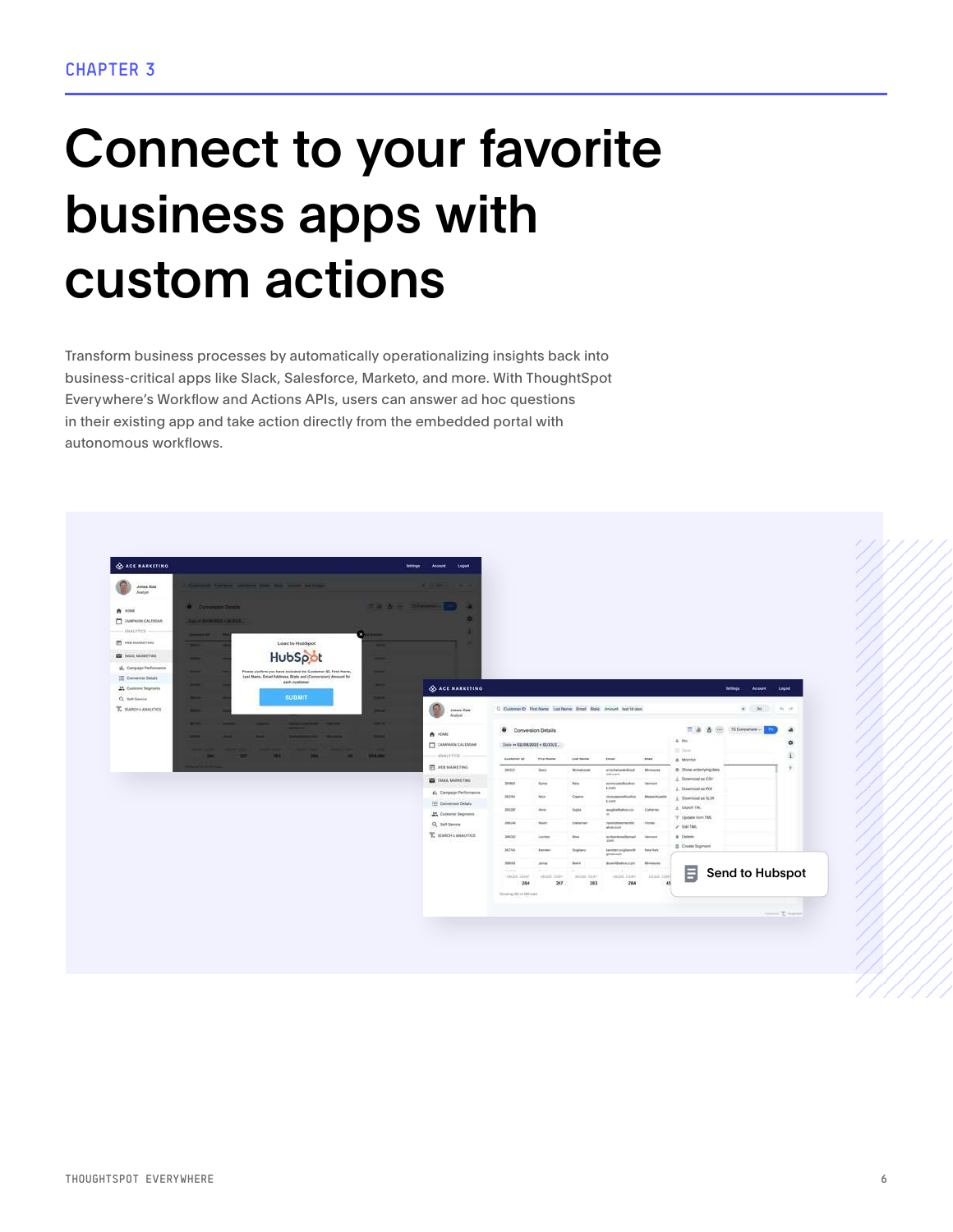## Connect to your favorite business apps with custom actions

Transform business processes by automatically operationalizing insights back into business-critical apps like Slack, Salesforce, Marketo, and more. With ThoughtSpot Everywhere's Workflow and Actions APIs, users can answer ad hoc questions in their existing app and take action directly from the embedded portal with autonomous workflows.

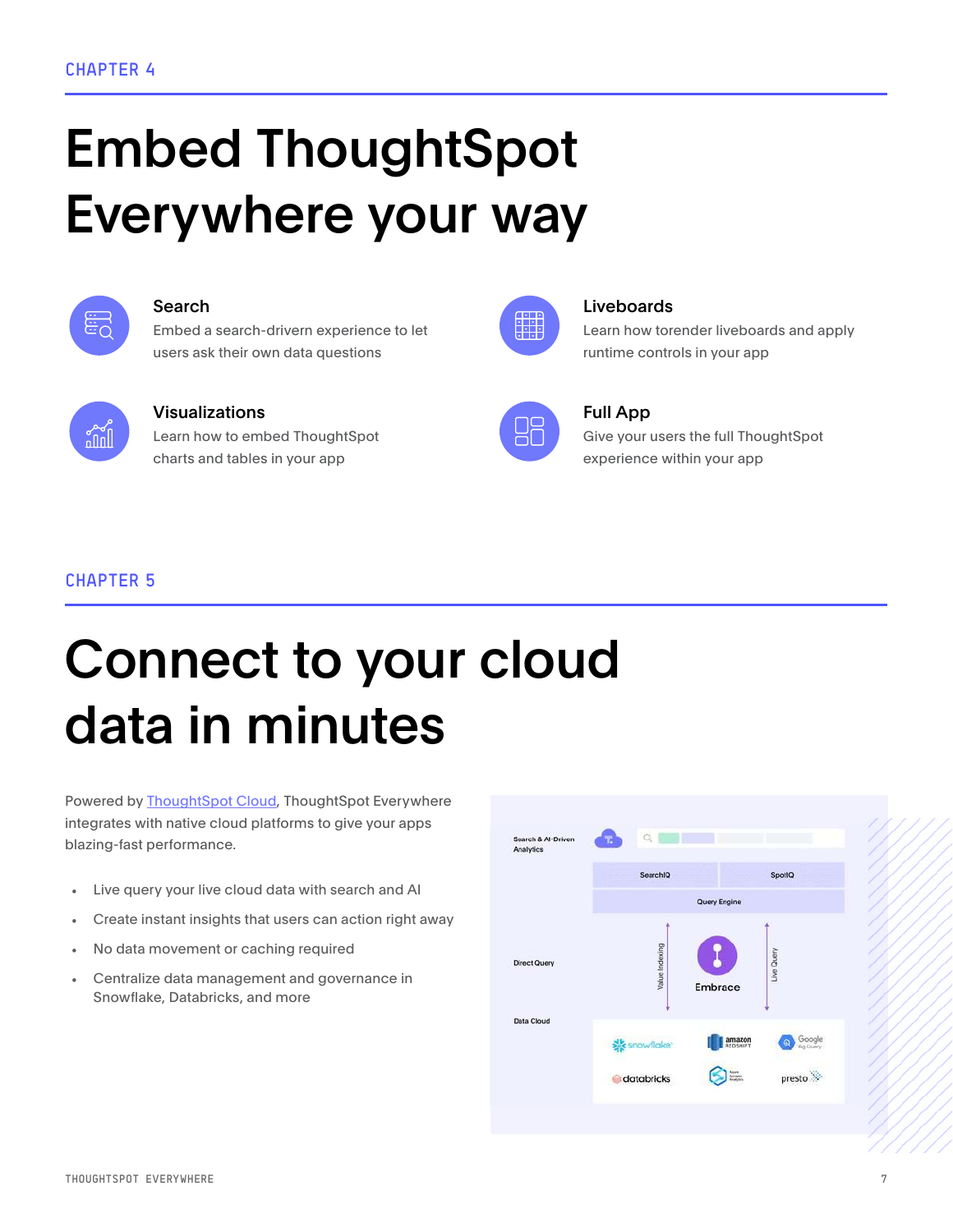# Embed ThoughtSpot Everywhere your way



Embed a search-drivern experience to let users ask their own data questions



### Visualizations **Full App**

Learn how to embed ThoughtSpot charts and tables in your app

### Search Liveboards **Liveboards**

Learn how torender liveboards and apply runtime controls in your app



₩.

Give your users the full ThoughtSpot experience within your app

### CHAPTER 5

## Connect to your cloud data in minutes

Powered by [ThoughtSpot Cloud,](https://www.thoughtspot.com/cloud) ThoughtSpot Everywhere integrates with native cloud platforms to give your apps blazing-fast performance.

- Live query your live cloud data with search and AI
- Create instant insights that users can action right away
- No data movement or caching required
- Centralize data management and governance in Snowflake, Databricks, and more

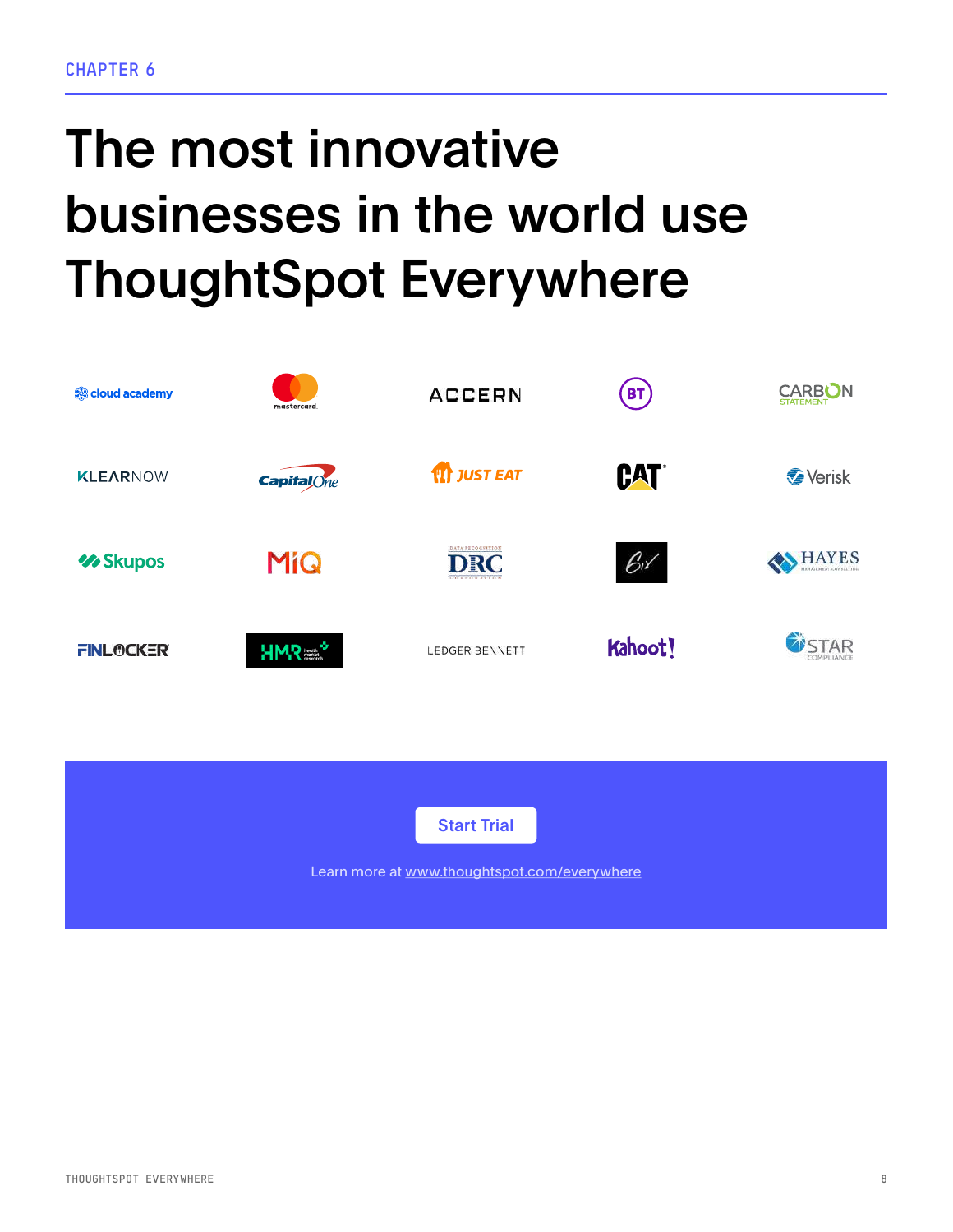# The most innovative businesses in the world use ThoughtSpot Everywhere